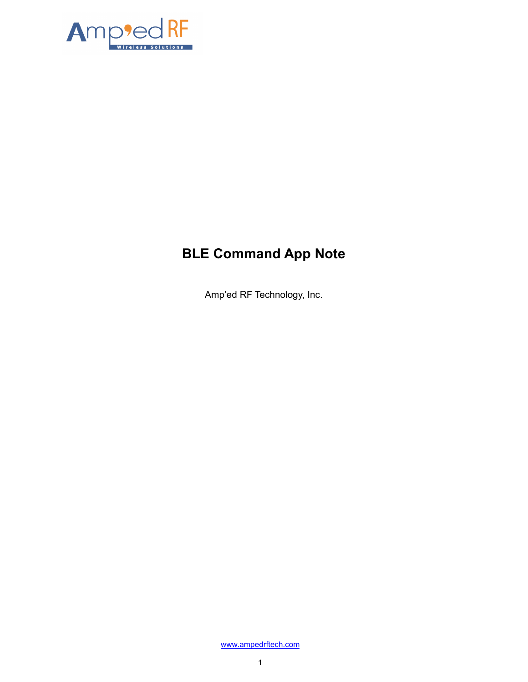

# **BLE Command App Note**

Amp'ed RF Technology, Inc.

[www.ampedrftech.com](http://www.ampedrftech.com/)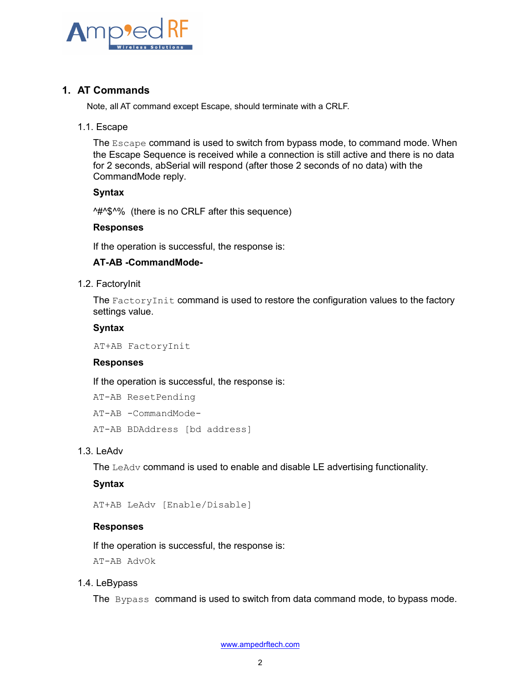

# **1. AT Commands**

Note, all AT command except Escape, should terminate with a CRLF.

#### 1.1. Escape

The Escape command is used to switch from bypass mode, to command mode. When the Escape Sequence is received while a connection is still active and there is no data for 2 seconds, abSerial will respond (after those 2 seconds of no data) with the CommandMode reply.

## **Syntax**

^#^\$^% (there is no CRLF after this sequence)

#### **Responses**

If the operation is successful, the response is:

## **AT-AB -CommandMode-**

#### 1.2. FactoryInit

The FactoryInit command is used to restore the configuration values to the factory settings value.

#### **Syntax**

AT+AB FactoryInit

## **Responses**

If the operation is successful, the response is:

AT-AB ResetPending

AT-AB -CommandMode-

AT-AB BDAddress [bd address]

## 1.3. LeAdv

The LeAdv command is used to enable and disable LE advertising functionality.

## **Syntax**

AT+AB LeAdv [Enable/Disable]

## **Responses**

If the operation is successful, the response is:

AT-AB AdvOk

## 1.4. LeBypass

The Bypass command is used to switch from data command mode, to bypass mode.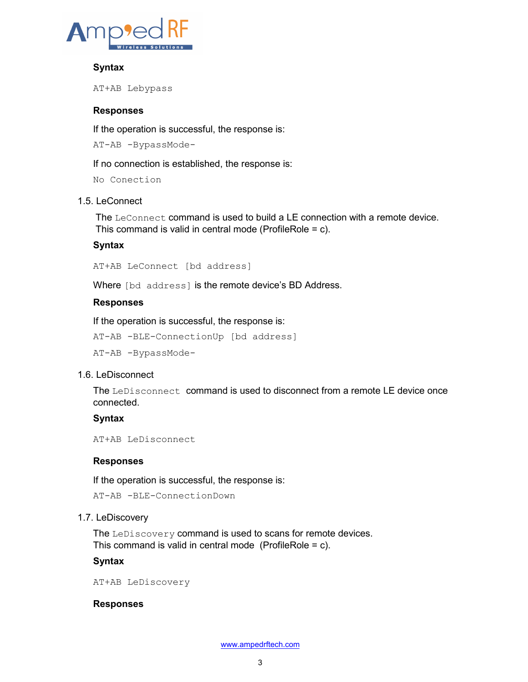

# **Syntax**

AT+AB Lebypass

## **Responses**

If the operation is successful, the response is:

AT-AB -BypassMode-

If no connection is established, the response is:

No Conection

## 1.5. LeConnect

The LeConnect command is used to build a LE connection with a remote device. This command is valid in central mode (ProfileRole = c).

## **Syntax**

AT+AB LeConnect [bd address]

Where [bd address] is the remote device's BD Address.

## **Responses**

If the operation is successful, the response is:

AT-AB -BLE-ConnectionUp [bd address]

AT-AB -BypassMode-

# 1.6. LeDisconnect

The LeDisconnect command is used to disconnect from a remote LE device once connected.

# **Syntax**

AT+AB LeDisconnect

## **Responses**

If the operation is successful, the response is:

AT-AB -BLE-ConnectionDown

## 1.7. LeDiscovery

The LeDiscovery command is used to scans for remote devices. This command is valid in central mode (ProfileRole = c).

## **Syntax**

AT+AB LeDiscovery

## **Responses**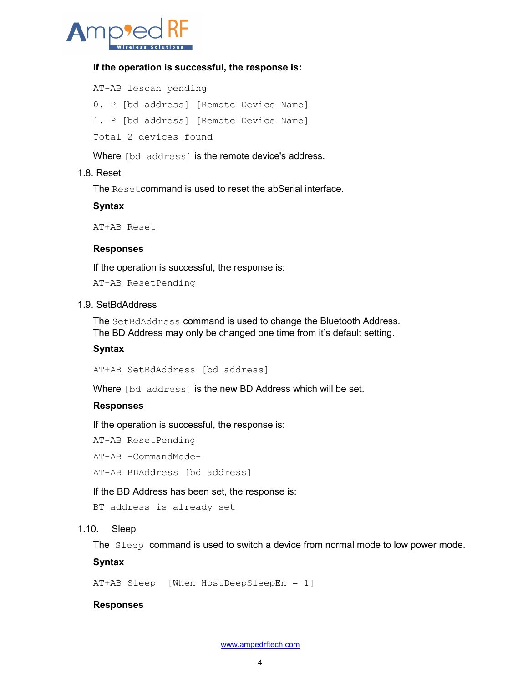

## **If the operation is successful, the response is:**

AT-AB lescan pending 0. P [bd address] [Remote Device Name] 1. P [bd address] [Remote Device Name] Total 2 devices found

Where [bd address] is the remote device's address.

#### 1.8. Reset

The Resetcommand is used to reset the abSerial interface.

## **Syntax**

AT+AB Reset

#### **Responses**

If the operation is successful, the response is:

AT-AB ResetPending

#### 1.9. SetBdAddress

The SetBdAddress command is used to change the Bluetooth Address. The BD Address may only be changed one time from it's default setting.

## **Syntax**

AT+AB SetBdAddress [bd address]

Where [bd address] is the new BD Address which will be set.

#### **Responses**

If the operation is successful, the response is:

AT-AB ResetPending

AT-AB -CommandMode-

AT-AB BDAddress [bd address]

If the BD Address has been set, the response is:

```
BT address is already set
```
## 1.10. Sleep

The Sleep command is used to switch a device from normal mode to low power mode.

#### **Syntax**

AT+AB Sleep [When HostDeepSleepEn = 1]

#### **Responses**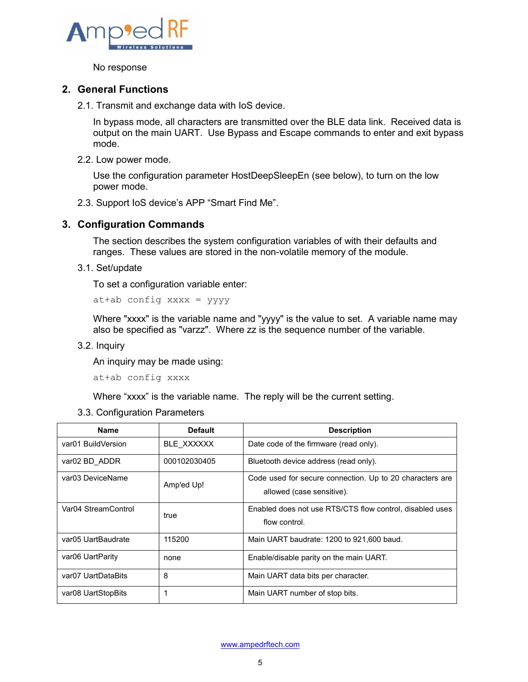

No response

# **2. General Functions**

2.1. Transmit and exchange data with IoS device.

In bypass mode, all characters are transmitted over the BLE data link. Received data is output on the main UART. Use Bypass and Escape commands to enter and exit bypass mode.

2.2. Low power mode.

Use the configuration parameter HostDeepSleepEn (see below), to turn on the low power mode.

2.3. Support IoS device's APP "Smart Find Me".

# **3. Configuration Commands**

The section describes the system configuration variables of with their defaults and ranges. These values are stored in the non-volatile memory of the module.

3.1. Set/update

To set a configuration variable enter:

at+ab config xxxx = yyyy

Where "xxxx" is the variable name and "yyyy" is the value to set. A variable name may also be specified as "varzz". Where zz is the sequence number of the variable.

3.2. Inquiry

An inquiry may be made using:

at+ab config xxxx

Where "xxxx" is the variable name. The reply will be the current setting.

3.3. Configuration Parameters

| <b>Name</b>         | <b>Default</b> | <b>Description</b>                                                                    |
|---------------------|----------------|---------------------------------------------------------------------------------------|
| var01 BuildVersion  | BLE XXXXXX     | Date code of the firmware (read only).                                                |
| var02 BD ADDR       | 000102030405   | Bluetooth device address (read only).                                                 |
| var03 DeviceName    | Amp'ed Up!     | Code used for secure connection. Up to 20 characters are<br>allowed (case sensitive). |
| Var04 StreamControl | true           | Enabled does not use RTS/CTS flow control, disabled uses<br>flow control.             |
| var05 UartBaudrate  | 115200         | Main UART baudrate: 1200 to 921,600 baud.                                             |
| var06 UartParity    | none           | Enable/disable parity on the main UART.                                               |
| var07 UartDataBits  | 8              | Main UART data bits per character.                                                    |
| var08 UartStopBits  | 1              | Main UART number of stop bits.                                                        |